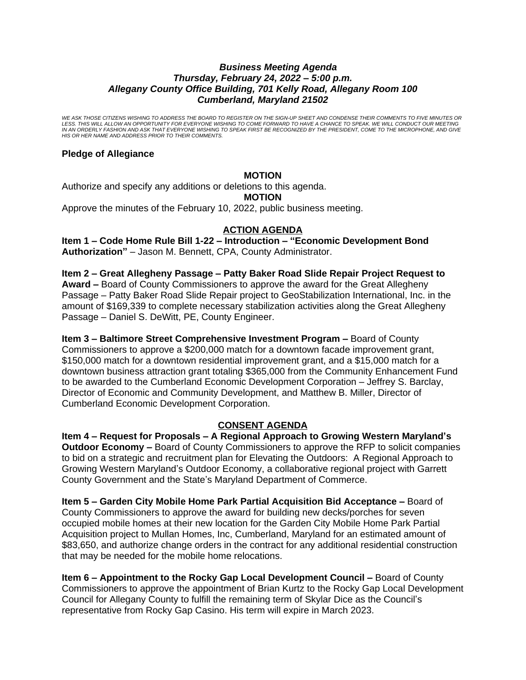### *Business Meeting Agenda Thursday, February 24, 2022 – 5:00 p.m. Allegany County Office Building, 701 Kelly Road, Allegany Room 100 Cumberland, Maryland 21502*

*WE ASK THOSE CITIZENS WISHING TO ADDRESS THE BOARD TO REGISTER ON THE SIGN-UP SHEET AND CONDENSE THEIR COMMENTS TO FIVE MINUTES OR*  LESS. THIS WILL ALLOW AN OPPORTUNITY FOR EVERYONE WISHING TO COME FORWARD TO HAVE A CHANCE TO SPEAK. WE WILL CONDUCT OUR MEETING<br>IN AN ORDERLY FASHION AND ASK THAT EVERYONE WISHING TO SPEAK FIRST BE RECOGNIZED BY THE PRESI *HIS OR HER NAME AND ADDRESS PRIOR TO THEIR COMMENTS.*

# **Pledge of Allegiance**

## **MOTION**

Authorize and specify any additions or deletions to this agenda.

**MOTION**

Approve the minutes of the February 10, 2022, public business meeting.

# **ACTION AGENDA**

**Item 1 – Code Home Rule Bill 1-22 – Introduction – "Economic Development Bond Authorization"** – Jason M. Bennett, CPA, County Administrator.

**Item 2 – Great Allegheny Passage – Patty Baker Road Slide Repair Project Request to** 

**Award –** Board of County Commissioners to approve the award for the Great Allegheny Passage – Patty Baker Road Slide Repair project to GeoStabilization International, Inc. in the amount of \$169,339 to complete necessary stabilization activities along the Great Allegheny Passage – Daniel S. DeWitt, PE, County Engineer.

**Item 3 – Baltimore Street Comprehensive Investment Program –** Board of County Commissioners to approve a \$200,000 match for a downtown facade improvement grant, \$150,000 match for a downtown residential improvement grant, and a \$15,000 match for a downtown business attraction grant totaling \$365,000 from the Community Enhancement Fund to be awarded to the Cumberland Economic Development Corporation – Jeffrey S. Barclay, Director of Economic and Community Development, and Matthew B. Miller, Director of Cumberland Economic Development Corporation.

# **CONSENT AGENDA**

**Item 4 – Request for Proposals – A Regional Approach to Growing Western Maryland's Outdoor Economy –** Board of County Commissioners to approve the RFP to solicit companies to bid on a strategic and recruitment plan for Elevating the Outdoors: A Regional Approach to Growing Western Maryland's Outdoor Economy, a collaborative regional project with Garrett County Government and the State's Maryland Department of Commerce.

**Item 5 – Garden City Mobile Home Park Partial Acquisition Bid Acceptance –** Board of County Commissioners to approve the award for building new decks/porches for seven occupied mobile homes at their new location for the Garden City Mobile Home Park Partial Acquisition project to Mullan Homes, Inc, Cumberland, Maryland for an estimated amount of \$83,650, and authorize change orders in the contract for any additional residential construction that may be needed for the mobile home relocations.

**Item 6 – Appointment to the Rocky Gap Local Development Council –** Board of County Commissioners to approve the appointment of Brian Kurtz to the Rocky Gap Local Development Council for Allegany County to fulfill the remaining term of Skylar Dice as the Council's representative from Rocky Gap Casino. His term will expire in March 2023.